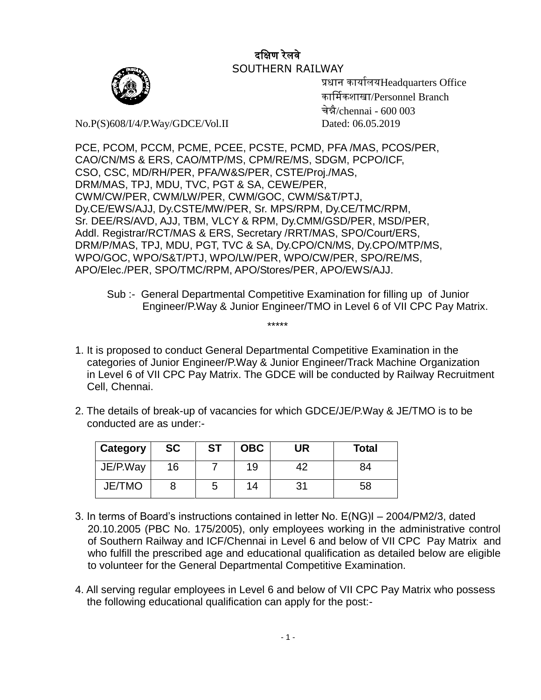## दक्षिण रेलवे SOUTHERN RAILWAY



 प्रधान कार्ाालर्Headquarters Office कार्मिकशाखा/Personnel Branch चेन्नै/chennai - 600 003

No.P(S)608/I/4/P.Way/GDCE/Vol.II Dated: 06.05.2019

PCE, PCOM, PCCM, PCME, PCEE, PCSTE, PCMD, PFA /MAS, PCOS/PER, CAO/CN/MS & ERS, CAO/MTP/MS, CPM/RE/MS, SDGM, PCPO/ICF, CSO, CSC, MD/RH/PER, PFA/W&S/PER, CSTE/Proj./MAS, DRM/MAS, TPJ, MDU, TVC, PGT & SA, CEWE/PER, CWM/CW/PER, CWM/LW/PER, CWM/GOC, CWM/S&T/PTJ, Dy.CE/EWS/AJJ, Dy.CSTE/MW/PER, Sr. MPS/RPM, Dy.CE/TMC/RPM, Sr. DEE/RS/AVD, AJJ, TBM, VLCY & RPM, Dy.CMM/GSD/PER, MSD/PER, Addl. Registrar/RCT/MAS & ERS, Secretary /RRT/MAS, SPO/Court/ERS, DRM/P/MAS, TPJ, MDU, PGT, TVC & SA, Dy.CPO/CN/MS, Dy.CPO/MTP/MS, WPO/GOC, WPO/S&T/PTJ, WPO/LW/PER, WPO/CW/PER, SPO/RE/MS, APO/Elec./PER, SPO/TMC/RPM, APO/Stores/PER, APO/EWS/AJJ.

- 1. It is proposed to conduct General Departmental Competitive Examination in the categories of Junior Engineer/P.Way & Junior Engineer/Track Machine Organization in Level 6 of VII CPC Pay Matrix. The GDCE will be conducted by Railway Recruitment Cell, Chennai.
- 2. The details of break-up of vacancies for which GDCE/JE/P.Way & JE/TMO is to be conducted are as under:-

| Category      | <b>SC</b> | <b>ST</b> | <b>OBC</b> | UR | <b>Total</b> |
|---------------|-----------|-----------|------------|----|--------------|
| JE/P.Way      | 16        |           | 19         | 42 | 84           |
| <b>JE/TMO</b> |           | 5         | 14         | 31 | 58           |

\*\*\*\*\*

- 3. In terms of Board's instructions contained in letter No. E(NG)I 2004/PM2/3, dated 20.10.2005 (PBC No. 175/2005), only employees working in the administrative control of Southern Railway and ICF/Chennai in Level 6 and below of VII CPC Pay Matrix and who fulfill the prescribed age and educational qualification as detailed below are eligible to volunteer for the General Departmental Competitive Examination.
- 4. All serving regular employees in Level 6 and below of VII CPC Pay Matrix who possess the following educational qualification can apply for the post:-

Sub :- General Departmental Competitive Examination for filling up of Junior Engineer/P.Way & Junior Engineer/TMO in Level 6 of VII CPC Pay Matrix.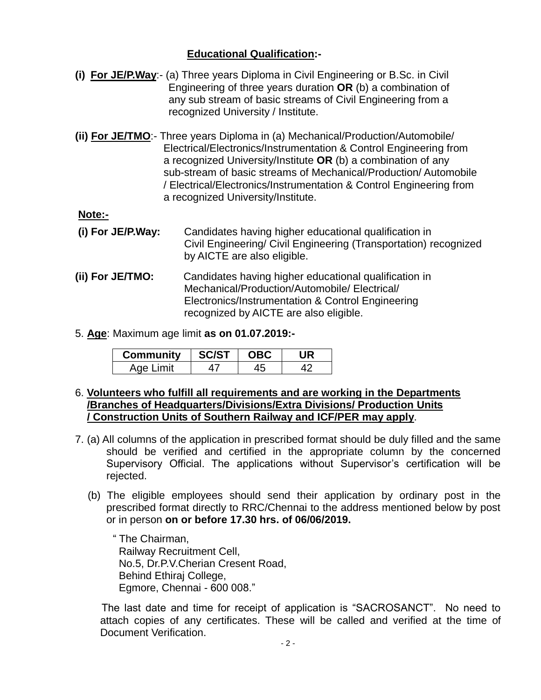## **Educational Qualification:-**

- **(i) For JE/P.Way**:- (a) Three years Diploma in Civil Engineering or B.Sc. in Civil Engineering of three years duration **OR** (b) a combination of any sub stream of basic streams of Civil Engineering from a recognized University / Institute.
- **(ii) For JE/TMO**:- Three years Diploma in (a) Mechanical/Production/Automobile/ Electrical/Electronics/Instrumentation & Control Engineering from a recognized University/Institute **OR** (b) a combination of any sub-stream of basic streams of Mechanical/Production/ Automobile / Electrical/Electronics/Instrumentation & Control Engineering from a recognized University/Institute.

**Note:-**

- **(i) For JE/P.Way:** Candidates having higher educational qualification in Civil Engineering/ Civil Engineering (Transportation) recognized by AICTE are also eligible.
- **(ii) For JE/TMO:** Candidates having higher educational qualification in Mechanical/Production/Automobile/ Electrical/ Electronics/Instrumentation & Control Engineering recognized by AICTE are also eligible.
- 5. **Age**: Maximum age limit **as on 01.07.2019:-**

| <b>Community</b> | <b>SC/ST</b> | <b>OBC</b> |  |
|------------------|--------------|------------|--|
| Age Limit        |              |            |  |

- 6. **Volunteers who fulfill all requirements and are working in the Departments /Branches of Headquarters/Divisions/Extra Divisions/ Production Units / Construction Units of Southern Railway and ICF/PER may apply**.
- 7. (a) All columns of the application in prescribed format should be duly filled and the same should be verified and certified in the appropriate column by the concerned Supervisory Official. The applications without Supervisor's certification will be rejected.
	- (b) The eligible employees should send their application by ordinary post in the prescribed format directly to RRC/Chennai to the address mentioned below by post or in person **on or before 17.30 hrs. of 06/06/2019.**

 " The Chairman, Railway Recruitment Cell, No.5, Dr.P.V.Cherian Cresent Road, Behind Ethiraj College, Egmore, Chennai - 600 008."

 The last date and time for receipt of application is "SACROSANCT". No need to attach copies of any certificates. These will be called and verified at the time of Document Verification.